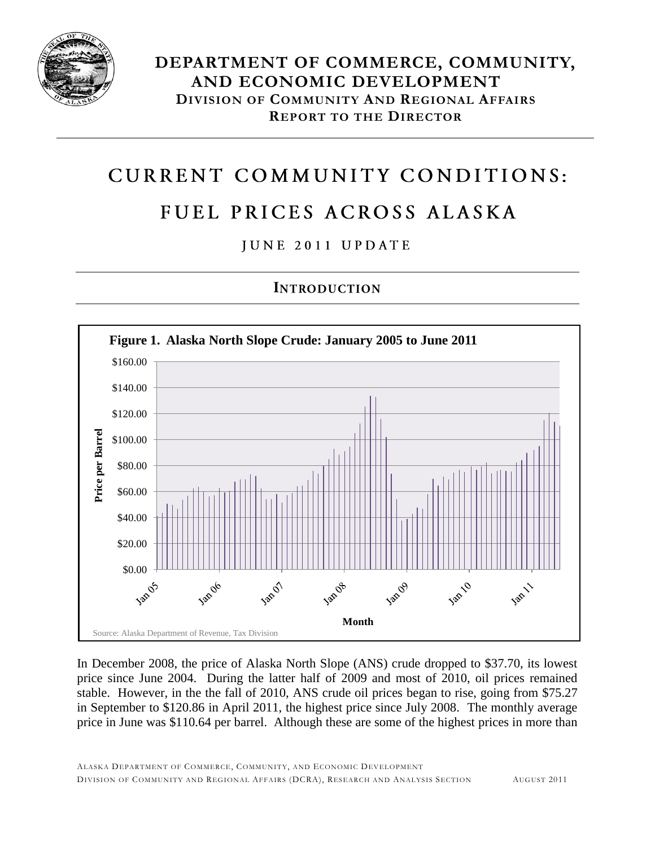

# CURRENT COMMUNITY CONDITIONS:

# FUEL PRICES ACROSS ALASKA

### JUNE 2011 UPDATE

## **INTRODUCTION**



In December 2008, the price of Alaska North Slope (ANS) crude dropped to \$37.70, its lowest price since June 2004. During the latter half of 2009 and most of 2010, oil prices remained stable. However, in the the fall of 2010, ANS crude oil prices began to rise, going from \$75.27 in September to \$120.86 in April 2011, the highest price since July 2008. The monthly average price in June was \$110.64 per barrel. Although these are some of the highest prices in more than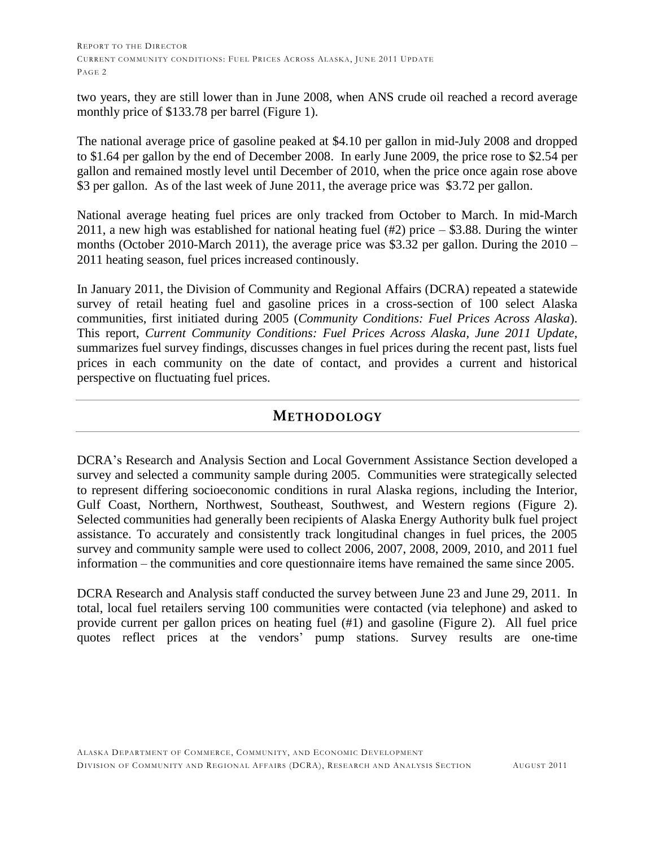two years, they are still lower than in June 2008, when ANS crude oil reached a record average monthly price of \$133.78 per barrel (Figure 1).

The national average price of gasoline peaked at \$4.10 per gallon in mid-July 2008 and dropped to \$1.64 per gallon by the end of December 2008. In early June 2009, the price rose to \$2.54 per gallon and remained mostly level until December of 2010, when the price once again rose above \$3 per gallon. As of the last week of June 2011, the average price was \$3.72 per gallon.

National average heating fuel prices are only tracked from October to March. In mid-March 2011, a new high was established for national heating fuel (#2) price – \$3.88. During the winter months (October 2010-March 2011), the average price was \$3.32 per gallon. During the 2010 – 2011 heating season, fuel prices increased continously.

In January 2011, the Division of Community and Regional Affairs (DCRA) repeated a statewide survey of retail heating fuel and gasoline prices in a cross-section of 100 select Alaska communities, first initiated during 2005 (*Community Conditions: Fuel Prices Across Alaska*). This report, *Current Community Conditions: Fuel Prices Across Alaska, June 2011 Update*, summarizes fuel survey findings, discusses changes in fuel prices during the recent past, lists fuel prices in each community on the date of contact, and provides a current and historical perspective on fluctuating fuel prices.

#### **METHODOLOGY**

DCRA's Research and Analysis Section and Local Government Assistance Section developed a survey and selected a community sample during 2005. Communities were strategically selected to represent differing socioeconomic conditions in rural Alaska regions, including the Interior, Gulf Coast, Northern, Northwest, Southeast, Southwest, and Western regions (Figure 2). Selected communities had generally been recipients of Alaska Energy Authority bulk fuel project assistance. To accurately and consistently track longitudinal changes in fuel prices, the 2005 survey and community sample were used to collect 2006, 2007, 2008, 2009, 2010, and 2011 fuel information – the communities and core questionnaire items have remained the same since 2005.

DCRA Research and Analysis staff conducted the survey between June 23 and June 29, 2011. In total, local fuel retailers serving 100 communities were contacted (via telephone) and asked to provide current per gallon prices on heating fuel (#1) and gasoline (Figure 2). All fuel price quotes reflect prices at the vendors' pump stations. Survey results are one-time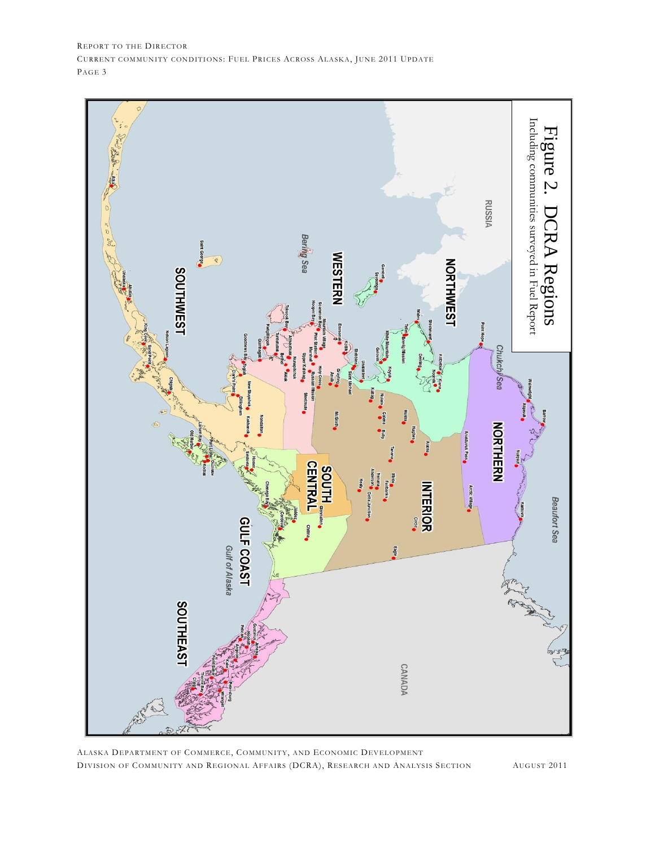

ALASKA DEPARTMENT OF COMMERCE, COMMUNITY, AND ECONOMIC DEVELOPMENT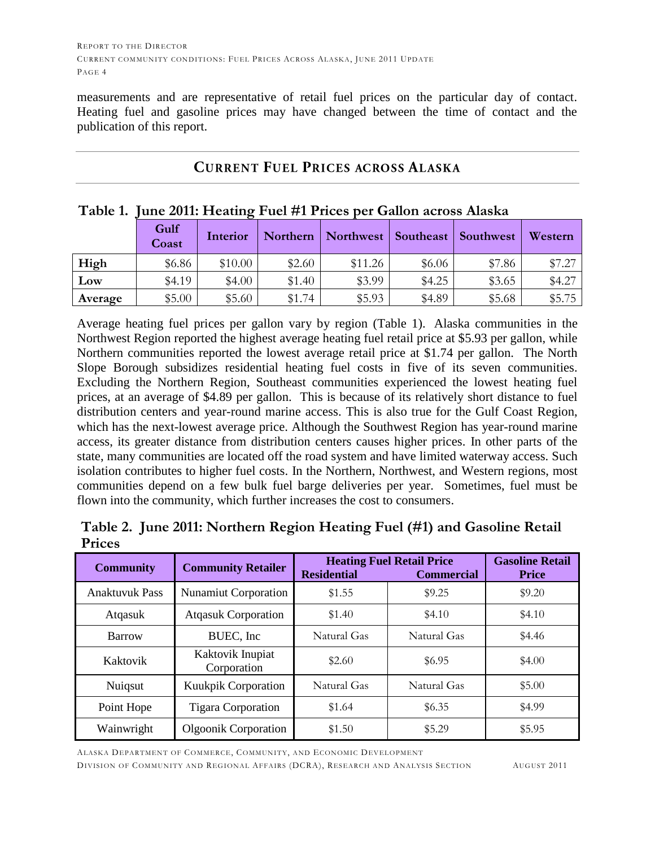measurements and are representative of retail fuel prices on the particular day of contact. Heating fuel and gasoline prices may have changed between the time of contact and the publication of this report.

| Table 1. June 2011: Heating Fuel #1 Prices per Gallon across Alaska |               |          |          |           |           |           |         |  |  |  |  |
|---------------------------------------------------------------------|---------------|----------|----------|-----------|-----------|-----------|---------|--|--|--|--|
|                                                                     | Gulf<br>Coast | Interior | Northern | Northwest | Southeast | Southwest | Western |  |  |  |  |
| High                                                                | \$6.86        | \$10.00  | \$2.60   | \$11.26   | \$6.06    | \$7.86    | \$7.27  |  |  |  |  |
| Low                                                                 | \$4.19        | \$4.00   | \$1.40   | \$3.99    | \$4.25    | \$3.65    | \$4.27  |  |  |  |  |
| Average                                                             | \$5.00        | \$5.60   | \$1.74   | \$5.93    | \$4.89    | \$5.68    | \$5.75  |  |  |  |  |

#### **CURRENT FUEL PRICES ACROSS ALASKA**

Average heating fuel prices per gallon vary by region (Table 1). Alaska communities in the Northwest Region reported the highest average heating fuel retail price at \$5.93 per gallon, while Northern communities reported the lowest average retail price at \$1.74 per gallon. The North Slope Borough subsidizes residential heating fuel costs in five of its seven communities. Excluding the Northern Region, Southeast communities experienced the lowest heating fuel prices, at an average of \$4.89 per gallon. This is because of its relatively short distance to fuel distribution centers and year-round marine access. This is also true for the Gulf Coast Region, which has the next-lowest average price. Although the Southwest Region has year-round marine access, its greater distance from distribution centers causes higher prices. In other parts of the state, many communities are located off the road system and have limited waterway access. Such isolation contributes to higher fuel costs. In the Northern, Northwest, and Western regions, most communities depend on a few bulk fuel barge deliveries per year. Sometimes, fuel must be flown into the community, which further increases the cost to consumers.

|        | Table 2. June 2011: Northern Region Heating Fuel (#1) and Gasoline Retail |  |  |  |  |
|--------|---------------------------------------------------------------------------|--|--|--|--|
| Prices |                                                                           |  |  |  |  |

| <b>Community</b>                          | <b>Community Retailer</b>       | <b>Residential</b> | <b>Heating Fuel Retail Price</b><br><b>Commercial</b> | <b>Gasoline Retail</b><br><b>Price</b> |
|-------------------------------------------|---------------------------------|--------------------|-------------------------------------------------------|----------------------------------------|
| <b>Anaktuvuk Pass</b>                     | <b>Nunamiut Corporation</b>     | \$1.55             | \$9.25                                                | \$9.20                                 |
| Atqasuk                                   | <b>Atqasuk Corporation</b>      | \$1.40             | \$4.10                                                | \$4.10                                 |
| Barrow                                    | BUEC, Inc.                      | Natural Gas        | Natural Gas                                           | \$4.46                                 |
| Kaktovik                                  | Kaktovik Inupiat<br>Corporation | \$2.60             | \$6.95                                                | \$4.00                                 |
| Nuiqsut                                   | Kuukpik Corporation             | Natural Gas        | Natural Gas                                           | \$5.00                                 |
| Point Hope                                | <b>Tigara Corporation</b>       | \$1.64             | \$6.35                                                | \$4.99                                 |
| Wainwright<br><b>Olgoonik Corporation</b> |                                 | \$1.50             | \$5.29                                                | \$5.95                                 |

ALASKA DEPARTMENT OF COMMERCE, COMMUNITY, AND ECONOMIC DEVELOPMENT DIVISION OF COMMUNITY AND REGIONAL AFFAIRS (DCRA), RESEARCH AND ANALYSIS SECTION AUGUST 2011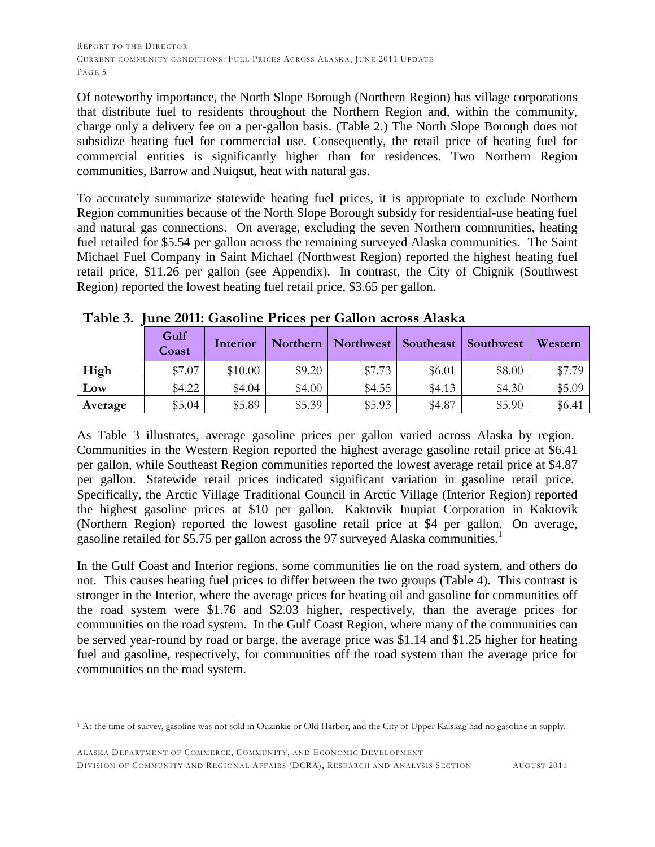Of noteworthy importance, the North Slope Borough (Northern Region) has village corporations that distribute fuel to residents throughout the Northern Region and, within the community, charge only a delivery fee on a per-gallon basis. (Table 2.) The North Slope Borough does not subsidize heating fuel for commercial use. Consequently, the retail price of heating fuel for commercial entities is significantly higher than for residences. Two Northern Region communities, Barrow and Nuiqsut, heat with natural gas.

To accurately summarize statewide heating fuel prices, it is appropriate to exclude Northern Region communities because of the North Slope Borough subsidy for residential-use heating fuel and natural gas connections. On average, excluding the seven Northern communities, heating fuel retailed for \$5.54 per gallon across the remaining surveyed Alaska communities. The Saint Michael Fuel Company in Saint Michael (Northwest Region) reported the highest heating fuel retail price, \$11.26 per gallon (see Appendix). In contrast, the City of Chignik (Southwest Region) reported the lowest heating fuel retail price, \$3.65 per gallon.

|         | Gulf<br>Coast | Interior | Northern | Northwest | Southeast | Southwest | Western |
|---------|---------------|----------|----------|-----------|-----------|-----------|---------|
| High    | \$7.07        | \$10.00  | \$9.20   | \$7.73    | \$6.01    | \$8.00    | \$7.79  |
| Low     | \$4.22        | \$4.04   | \$4.00   | \$4.55    | \$4.13    | \$4.30    | \$5.09  |
| Average | \$5.04        | \$5.89   | \$5.39   | \$5.93    | \$4.87    | \$5.90    | \$6.41  |

**Table 3. June 2011: Gasoline Prices per Gallon across Alaska**

As Table 3 illustrates, average gasoline prices per gallon varied across Alaska by region. Communities in the Western Region reported the highest average gasoline retail price at \$6.41 per gallon, while Southeast Region communities reported the lowest average retail price at \$4.87 per gallon. Statewide retail prices indicated significant variation in gasoline retail price. Specifically, the Arctic Village Traditional Council in Arctic Village (Interior Region) reported the highest gasoline prices at \$10 per gallon. Kaktovik Inupiat Corporation in Kaktovik (Northern Region) reported the lowest gasoline retail price at \$4 per gallon. On average, gasoline retailed for \$5.75 per gallon across the 97 surveyed Alaska communities.<sup>1</sup>

In the Gulf Coast and Interior regions, some communities lie on the road system, and others do not. This causes heating fuel prices to differ between the two groups (Table 4). This contrast is stronger in the Interior, where the average prices for heating oil and gasoline for communities off the road system were \$1.76 and \$2.03 higher, respectively, than the average prices for communities on the road system. In the Gulf Coast Region, where many of the communities can be served year-round by road or barge, the average price was \$1.14 and \$1.25 higher for heating fuel and gasoline, respectively, for communities off the road system than the average price for communities on the road system.

 $\overline{a}$ <sup>1</sup> At the time of survey, gasoline was not sold in Ouzinkie or Old Harbor, and the City of Upper Kalskag had no gasoline in supply.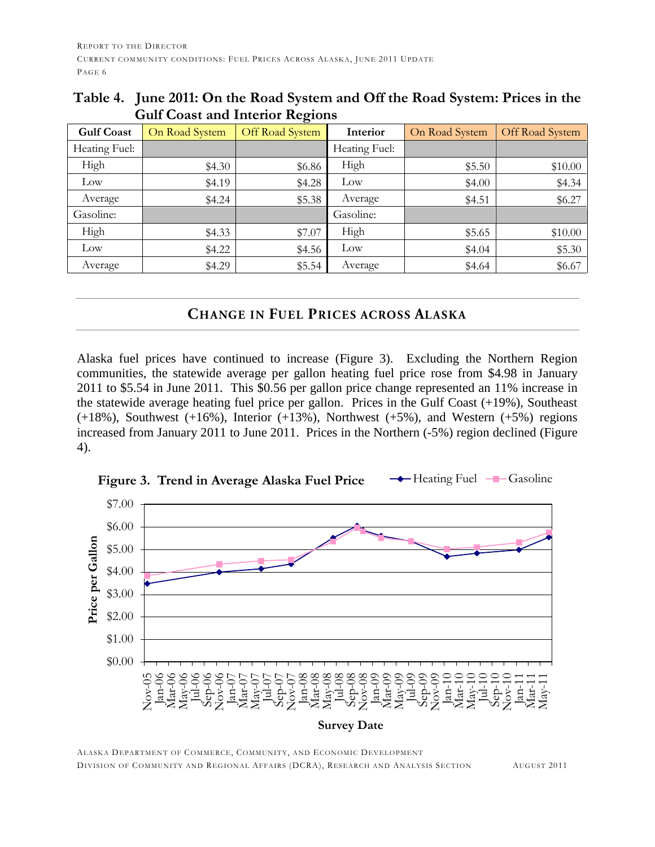| <b>Gulf Coast</b> | On Road System | $50000$ with antonion arrangement<br>Off Road System | Interior        | On Road System | Off Road System |
|-------------------|----------------|------------------------------------------------------|-----------------|----------------|-----------------|
| Heating Fuel:     |                |                                                      | Heating Fuel:   |                |                 |
| High              | \$4.30         | \$6.86                                               | High            | \$5.50         | \$10.00         |
| Low               | \$4.19         | \$4.28                                               | Low             | \$4.00         | \$4.34          |
| Average           | \$4.24         | \$5.38                                               | Average         | \$4.51         | \$6.27          |
| Gasoline:         |                |                                                      | Gasoline:       |                |                 |
| High              | \$4.33         | \$7.07                                               | High            | \$5.65         | \$10.00         |
| Low               | \$4.22         | \$4.56                                               | $_{\text{Low}}$ | \$4.04         | \$5.30          |
| Average           | \$4.29         | \$5.54                                               | Average         | \$4.64         | \$6.67          |

### **Table 4. June 2011: On the Road System and Off the Road System: Prices in the Gulf Coast and Interior Regions**

### **CHANGE IN FUEL PRICES ACROSS ALASKA**

Alaska fuel prices have continued to increase (Figure 3). Excluding the Northern Region communities, the statewide average per gallon heating fuel price rose from \$4.98 in January 2011 to \$5.54 in June 2011. This \$0.56 per gallon price change represented an 11% increase in the statewide average heating fuel price per gallon. Prices in the Gulf Coast (+19%), Southeast  $(+18%)$ , Southwest  $(+16%)$ , Interior  $(+13%)$ , Northwest  $(+5%)$ , and Western  $(+5%)$  regions increased from January 2011 to June 2011. Prices in the Northern (-5%) region declined (Figure 4).



ALASKA DEPARTMENT OF COMMERCE, COMMUNITY, AND ECONOMIC DEVELOPMENT DIVISION OF COMMUNITY AND REGIONAL AFFAIRS (DCRA), RESEARCH AND ANALYSIS SECTION AUGUST 2011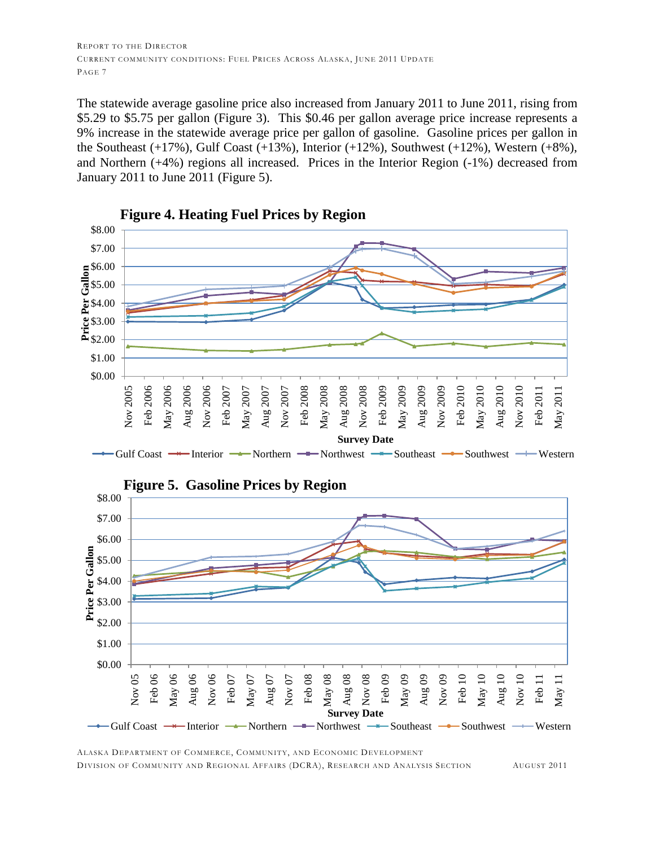The statewide average gasoline price also increased from January 2011 to June 2011, rising from \$5.29 to \$5.75 per gallon (Figure 3). This \$0.46 per gallon average price increase represents a 9% increase in the statewide average price per gallon of gasoline. Gasoline prices per gallon in the Southeast  $(+17%)$ , Gulf Coast  $(+13%)$ , Interior  $(+12%)$ , Southwest  $(+12%)$ , Western  $(+8%)$ , and Northern (+4%) regions all increased. Prices in the Interior Region (-1%) decreased from January 2011 to June 2011 (Figure 5).





ALASKA DEPARTMENT OF COMMERCE, COMMUNITY, AND ECONOMIC DEVELOPMENT DIVISION OF COMMUNITY AND REGIONAL AFFAIRS (DCRA), RESEARCH AND ANALYSIS SECTION AUGUST 2011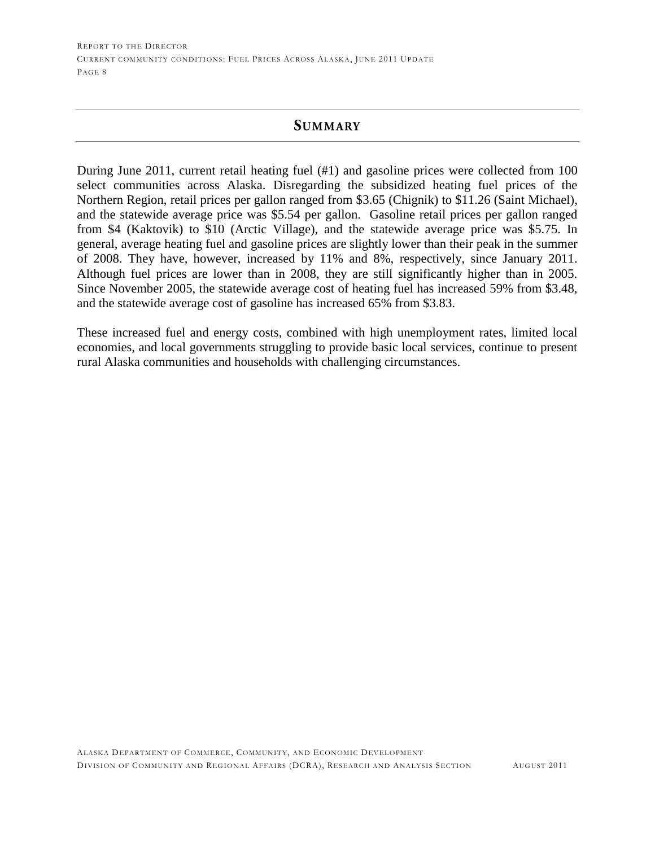#### **SUMMARY**

During June 2011, current retail heating fuel (#1) and gasoline prices were collected from 100 select communities across Alaska. Disregarding the subsidized heating fuel prices of the Northern Region, retail prices per gallon ranged from \$3.65 (Chignik) to \$11.26 (Saint Michael), and the statewide average price was \$5.54 per gallon. Gasoline retail prices per gallon ranged from \$4 (Kaktovik) to \$10 (Arctic Village), and the statewide average price was \$5.75. In general, average heating fuel and gasoline prices are slightly lower than their peak in the summer of 2008. They have, however, increased by 11% and 8%, respectively, since January 2011. Although fuel prices are lower than in 2008, they are still significantly higher than in 2005. Since November 2005, the statewide average cost of heating fuel has increased 59% from \$3.48, and the statewide average cost of gasoline has increased 65% from \$3.83.

These increased fuel and energy costs, combined with high unemployment rates, limited local economies, and local governments struggling to provide basic local services, continue to present rural Alaska communities and households with challenging circumstances.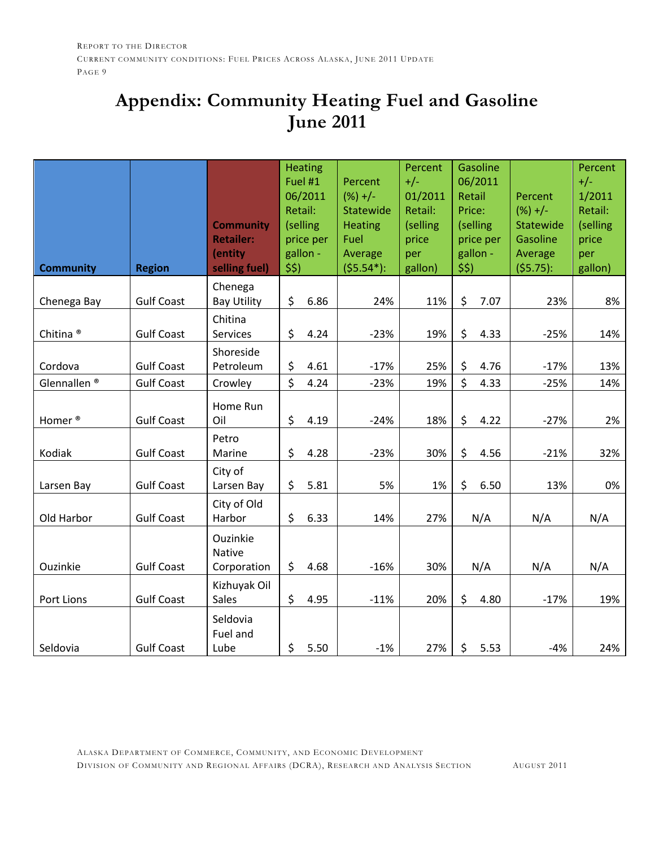# **Appendix: Community Heating Fuel and Gasoline June 2011**

| <b>Community</b>        | <b>Region</b>     | <b>Community</b><br><b>Retailer:</b><br>(entity<br>selling fuel) | <b>Heating</b><br>Fuel #1<br>06/2011<br>Retail:<br>(selling<br>price per<br>gallon -<br>\$5) | Percent<br>$(%) +/-$<br>Statewide<br><b>Heating</b><br>Fuel<br>Average<br>$(55.54*)$ : | Percent<br>$+/-$<br>01/2011<br>Retail:<br>(selling<br>price<br>per<br>gallon) | Gasoline<br>06/2011<br>Retail<br>Price:<br>(selling<br>price per<br>gallon -<br>\$5) | Percent<br>$(%) +/-$<br>Statewide<br>Gasoline<br>Average<br>(55.75): | Percent<br>$+/-$<br>1/2011<br>Retail:<br>(selling<br>price<br>per<br>gallon) |
|-------------------------|-------------------|------------------------------------------------------------------|----------------------------------------------------------------------------------------------|----------------------------------------------------------------------------------------|-------------------------------------------------------------------------------|--------------------------------------------------------------------------------------|----------------------------------------------------------------------|------------------------------------------------------------------------------|
|                         |                   | Chenega                                                          |                                                                                              |                                                                                        |                                                                               |                                                                                      |                                                                      |                                                                              |
| Chenega Bay             | <b>Gulf Coast</b> | <b>Bay Utility</b>                                               | \$<br>6.86                                                                                   | 24%                                                                                    | 11%                                                                           | \$<br>7.07                                                                           | 23%                                                                  | 8%                                                                           |
| Chitina <sup>®</sup>    | <b>Gulf Coast</b> | Chitina<br><b>Services</b>                                       | \$<br>4.24                                                                                   | $-23%$                                                                                 | 19%                                                                           | \$<br>4.33                                                                           | $-25%$                                                               | 14%                                                                          |
| Cordova                 | <b>Gulf Coast</b> | Shoreside<br>Petroleum                                           | \$<br>4.61                                                                                   | $-17%$                                                                                 | 25%                                                                           | \$<br>4.76                                                                           | $-17%$                                                               | 13%                                                                          |
| Glennallen <sup>®</sup> | <b>Gulf Coast</b> | Crowley                                                          | \$<br>4.24                                                                                   | $-23%$                                                                                 | 19%                                                                           | \$<br>4.33                                                                           | $-25%$                                                               | 14%                                                                          |
| Homer <sup>®</sup>      | <b>Gulf Coast</b> | Home Run<br>Oil                                                  | \$<br>4.19                                                                                   | $-24%$                                                                                 | 18%                                                                           | \$<br>4.22                                                                           | $-27%$                                                               | 2%                                                                           |
| Kodiak                  | <b>Gulf Coast</b> | Petro<br>Marine                                                  | \$<br>4.28                                                                                   | $-23%$                                                                                 | 30%                                                                           | \$<br>4.56                                                                           | $-21%$                                                               | 32%                                                                          |
| Larsen Bay              | <b>Gulf Coast</b> | City of<br>Larsen Bay                                            | \$<br>5.81                                                                                   | 5%                                                                                     | 1%                                                                            | \$<br>6.50                                                                           | 13%                                                                  | 0%                                                                           |
| Old Harbor              | <b>Gulf Coast</b> | City of Old<br>Harbor                                            | \$<br>6.33                                                                                   | 14%                                                                                    | 27%                                                                           | N/A                                                                                  | N/A                                                                  | N/A                                                                          |
| Ouzinkie                | <b>Gulf Coast</b> | Ouzinkie<br>Native<br>Corporation                                | \$<br>4.68                                                                                   | $-16%$                                                                                 | 30%                                                                           | N/A                                                                                  | N/A                                                                  | N/A                                                                          |
| Port Lions              | <b>Gulf Coast</b> | Kizhuyak Oil<br>Sales                                            | \$<br>4.95                                                                                   | $-11%$                                                                                 | 20%                                                                           | \$<br>4.80                                                                           | $-17%$                                                               | 19%                                                                          |
| Seldovia                | <b>Gulf Coast</b> | Seldovia<br>Fuel and<br>Lube                                     | \$<br>5.50                                                                                   | $-1%$                                                                                  | 27%                                                                           | \$<br>5.53                                                                           | $-4%$                                                                | 24%                                                                          |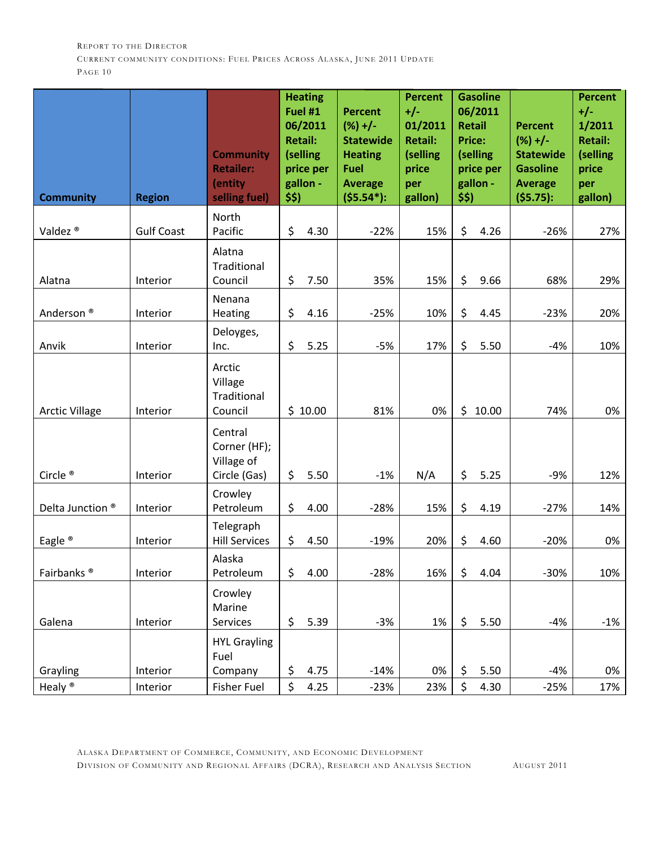| <b>Community</b>              | <b>Region</b>                 | <b>Community</b><br><b>Retailer:</b><br>(entity<br>selling fuel) | \$\$)    | <b>Heating</b><br>Fuel #1<br>06/2011<br><b>Retail:</b><br>(selling<br>price per<br>gallon - | <b>Percent</b><br>$(%) +/-$<br><b>Statewide</b><br><b>Heating</b><br><b>Fuel</b><br><b>Average</b><br>$($ \$5.54 <sup>*</sup> ): | <b>Percent</b><br>$+/-$<br>01/2011<br><b>Retail:</b><br>(selling<br>price<br>per<br>gallon) | \$\$)    | <b>Gasoline</b><br>06/2011<br><b>Retail</b><br><b>Price:</b><br>(selling<br>price per<br>gallon - | <b>Percent</b><br>$(%) +/-$<br><b>Statewide</b><br><b>Gasoline</b><br><b>Average</b><br>(55.75): | <b>Percent</b><br>$+/-$<br>1/2011<br><b>Retail:</b><br>(selling<br>price<br>per<br>gallon) |
|-------------------------------|-------------------------------|------------------------------------------------------------------|----------|---------------------------------------------------------------------------------------------|----------------------------------------------------------------------------------------------------------------------------------|---------------------------------------------------------------------------------------------|----------|---------------------------------------------------------------------------------------------------|--------------------------------------------------------------------------------------------------|--------------------------------------------------------------------------------------------|
|                               |                               | North                                                            |          |                                                                                             |                                                                                                                                  |                                                                                             |          |                                                                                                   |                                                                                                  |                                                                                            |
| Valdez <sup>®</sup><br>Alatna | <b>Gulf Coast</b><br>Interior | Pacific<br>Alatna<br>Traditional<br>Council                      | \$<br>\$ | 4.30<br>7.50                                                                                | $-22%$<br>35%                                                                                                                    | 15%<br>15%                                                                                  | \$<br>\$ | 4.26<br>9.66                                                                                      | $-26%$<br>68%                                                                                    | 27%<br>29%                                                                                 |
| Anderson <sup>®</sup>         | Interior                      | Nenana<br>Heating                                                | \$       | 4.16                                                                                        | $-25%$                                                                                                                           | 10%                                                                                         | \$       | 4.45                                                                                              | $-23%$                                                                                           | 20%                                                                                        |
| Anvik                         | Interior                      | Deloyges,<br>Inc.                                                | \$       | 5.25                                                                                        | $-5%$                                                                                                                            | 17%                                                                                         | \$       | 5.50                                                                                              | $-4%$                                                                                            | 10%                                                                                        |
| <b>Arctic Village</b>         | Interior                      | Arctic<br>Village<br><b>Traditional</b><br>Council               |          | \$10.00                                                                                     | 81%                                                                                                                              | 0%                                                                                          | \$       | 10.00                                                                                             | 74%                                                                                              | 0%                                                                                         |
| Circle <sup>®</sup>           | Interior                      | Central<br>Corner (HF);<br>Village of<br>Circle (Gas)            | \$       | 5.50                                                                                        | $-1%$                                                                                                                            | N/A                                                                                         | \$       | 5.25                                                                                              | $-9%$                                                                                            | 12%                                                                                        |
| Delta Junction <sup>®</sup>   | Interior                      | Crowley<br>Petroleum                                             | \$       | 4.00                                                                                        | $-28%$                                                                                                                           | 15%                                                                                         | \$       | 4.19                                                                                              | $-27%$                                                                                           | 14%                                                                                        |
| Eagle <sup>®</sup>            | Interior                      | Telegraph<br><b>Hill Services</b>                                | \$       | 4.50                                                                                        | $-19%$                                                                                                                           | 20%                                                                                         | \$       | 4.60                                                                                              | $-20%$                                                                                           | 0%                                                                                         |
| Fairbanks <sup>®</sup>        | Interior                      | Alaska<br>Petroleum                                              | \$       | 4.00                                                                                        | $-28%$                                                                                                                           | 16%                                                                                         | \$       | 4.04                                                                                              | $-30%$                                                                                           | 10%                                                                                        |
| Galena                        | Interior                      | Crowley<br>Marine<br>Services                                    | \$       | 5.39                                                                                        | $-3%$                                                                                                                            | 1%                                                                                          | \$       | 5.50                                                                                              | $-4%$                                                                                            | $-1\%$                                                                                     |
| Grayling                      | Interior                      | <b>HYL Grayling</b><br>Fuel<br>Company                           | \$       | 4.75                                                                                        | $-14%$                                                                                                                           | 0%                                                                                          | \$       | 5.50                                                                                              | $-4%$                                                                                            | 0%                                                                                         |
| Healy <sup>®</sup>            | Interior                      | Fisher Fuel                                                      | \$       | 4.25                                                                                        | $-23%$                                                                                                                           | 23%                                                                                         | \$       | 4.30                                                                                              | $-25%$                                                                                           | 17%                                                                                        |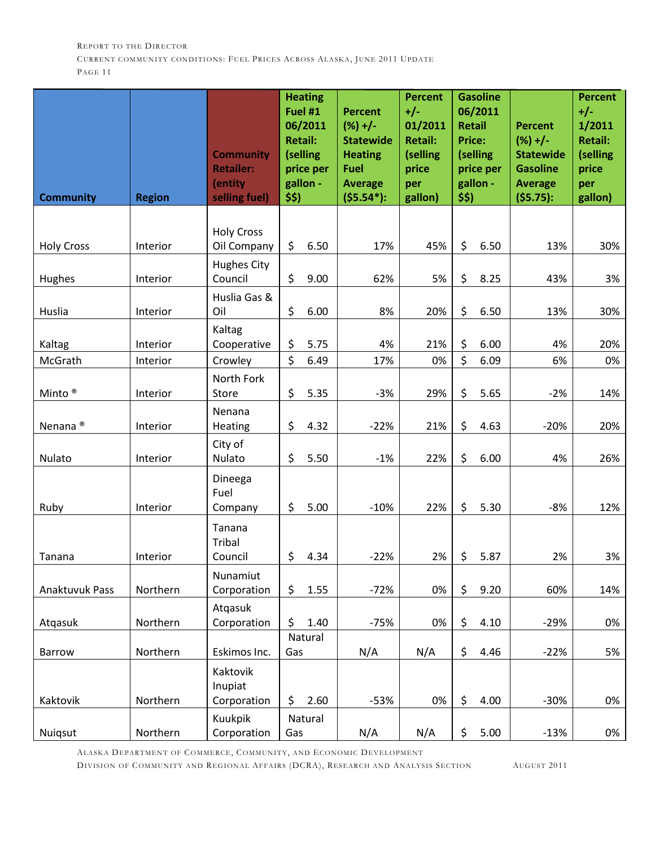| <b>Community</b>    | <b>Region</b>        | <b>Community</b><br><b>Retailer:</b><br>(entity<br>selling fuel) | <b>Heating</b><br>Fuel #1<br>06/2011<br><b>Retail:</b><br>(selling<br>price per<br>gallon -<br>\$\$) | <b>Percent</b><br>$(%) +/-$<br><b>Statewide</b><br><b>Heating</b><br><b>Fuel</b><br><b>Average</b><br>$($ \$5.54 <sup>*</sup> ): | <b>Percent</b><br>$+/-$<br>01/2011<br><b>Retail:</b><br>(selling<br>price<br>per<br>gallon) | \$\$)    | <b>Gasoline</b><br>06/2011<br><b>Retail</b><br><b>Price:</b><br>(selling<br>price per<br>gallon - | <b>Percent</b><br>$(%) +/-$<br><b>Statewide</b><br><b>Gasoline</b><br><b>Average</b><br>$($ \$5.75): | <b>Percent</b><br>$+/-$<br>1/2011<br><b>Retail:</b><br>(selling<br>price<br>per<br>gallon) |
|---------------------|----------------------|------------------------------------------------------------------|------------------------------------------------------------------------------------------------------|----------------------------------------------------------------------------------------------------------------------------------|---------------------------------------------------------------------------------------------|----------|---------------------------------------------------------------------------------------------------|------------------------------------------------------------------------------------------------------|--------------------------------------------------------------------------------------------|
|                     |                      | <b>Holy Cross</b>                                                |                                                                                                      |                                                                                                                                  |                                                                                             |          |                                                                                                   |                                                                                                      |                                                                                            |
| <b>Holy Cross</b>   | Interior             | Oil Company                                                      | \$<br>6.50                                                                                           | 17%                                                                                                                              | 45%                                                                                         | \$       | 6.50                                                                                              | 13%                                                                                                  | 30%                                                                                        |
| Hughes              | Interior             | <b>Hughes City</b><br>Council                                    | \$<br>9.00                                                                                           | 62%                                                                                                                              | 5%                                                                                          | \$       | 8.25                                                                                              | 43%                                                                                                  | 3%                                                                                         |
| Huslia              | Interior             | Huslia Gas &<br>Oil                                              | \$<br>6.00                                                                                           | 8%                                                                                                                               | 20%                                                                                         | \$       | 6.50                                                                                              | 13%                                                                                                  | 30%                                                                                        |
|                     |                      | Kaltag                                                           |                                                                                                      | 4%                                                                                                                               |                                                                                             |          | 6.00                                                                                              |                                                                                                      |                                                                                            |
| Kaltag<br>McGrath   | Interior<br>Interior | Cooperative<br>Crowley                                           | \$<br>5.75<br>\$<br>6.49                                                                             | 17%                                                                                                                              | 21%<br>0%                                                                                   | \$<br>\$ | 6.09                                                                                              | 4%<br>6%                                                                                             | 20%<br>0%                                                                                  |
| Minto <sup>®</sup>  | Interior             | North Fork<br>Store                                              | \$<br>5.35                                                                                           | $-3%$                                                                                                                            | 29%                                                                                         | \$       | 5.65                                                                                              | $-2%$                                                                                                | 14%                                                                                        |
| Nenana <sup>®</sup> | Interior             | Nenana<br><b>Heating</b>                                         | \$<br>4.32                                                                                           | $-22%$                                                                                                                           | 21%                                                                                         | \$       | 4.63                                                                                              | $-20%$                                                                                               | 20%                                                                                        |
| Nulato              | Interior             | City of<br>Nulato                                                | \$<br>5.50                                                                                           | $-1%$                                                                                                                            | 22%                                                                                         | \$       | 6.00                                                                                              | 4%                                                                                                   | 26%                                                                                        |
| Ruby                | Interior             | Dineega<br>Fuel<br>Company                                       | \$<br>5.00                                                                                           | $-10%$                                                                                                                           | 22%                                                                                         | \$       | 5.30                                                                                              | $-8%$                                                                                                | 12%                                                                                        |
| Tanana              | Interior             | Tanana<br>Tribal<br>Council                                      | \$<br>4.34                                                                                           | $-22%$                                                                                                                           | 2%                                                                                          | \$       | 5.87                                                                                              | 2%                                                                                                   | 3%                                                                                         |
| Anaktuvuk Pass      | Northern             | Nunamiut<br>Corporation                                          | \$<br>1.55                                                                                           | $-72%$                                                                                                                           | 0%                                                                                          | \$       | 9.20                                                                                              | 60%                                                                                                  | 14%                                                                                        |
| Atgasuk             | Northern             | Atqasuk<br>Corporation                                           | \$<br>1.40                                                                                           | $-75%$                                                                                                                           | 0%                                                                                          | \$       | 4.10                                                                                              | $-29%$                                                                                               | 0%                                                                                         |
| Barrow              | Northern             | Eskimos Inc.                                                     | Natural<br>Gas                                                                                       | N/A                                                                                                                              | N/A                                                                                         | \$       | 4.46                                                                                              | $-22%$                                                                                               | 5%                                                                                         |
| Kaktovik            | Northern             | Kaktovik<br>Inupiat<br>Corporation                               | \$<br>2.60                                                                                           | $-53%$                                                                                                                           | 0%                                                                                          | \$       | 4.00                                                                                              | $-30%$                                                                                               | 0%                                                                                         |
| Nuiqsut             | Northern             | Kuukpik<br>Corporation                                           | Natural<br>Gas                                                                                       | N/A                                                                                                                              | N/A                                                                                         | \$       | 5.00                                                                                              | $-13%$                                                                                               | 0%                                                                                         |

ALASKA DEPARTMENT OF COMMERCE, COMMUNITY, AND ECONOMIC DEVELOPMENT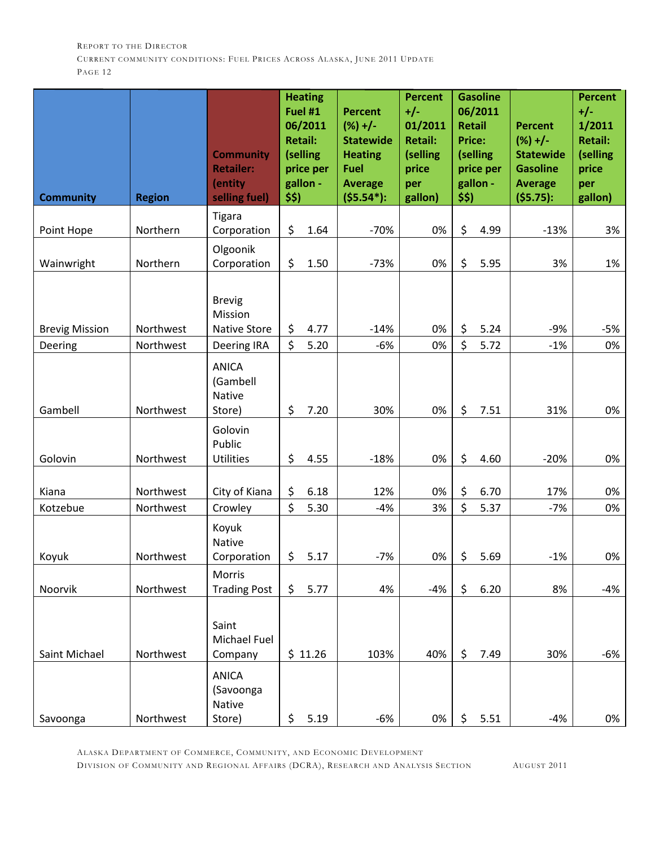| <b>Community</b>                 | <b>Region</b>          | <b>Community</b><br><b>Retailer:</b><br>(entity<br>selling fuel)      | \$\$)    | <b>Heating</b><br>Fuel #1<br>06/2011<br><b>Retail:</b><br>(selling<br>price per<br>gallon - | <b>Percent</b><br>$(%) +/-$<br><b>Statewide</b><br><b>Heating</b><br>Fuel<br><b>Average</b><br>$($ \$5.54 <sup>*</sup> ): | <b>Percent</b><br>$+/-$<br>01/2011<br><b>Retail:</b><br>(selling<br>price<br>per<br>gallon) | <b>Retail</b><br><b>Price:</b><br>\$\$) | <b>Gasoline</b><br>06/2011<br>(selling<br>price per<br>gallon - | <b>Percent</b><br>$(%) +/-$<br><b>Statewide</b><br><b>Gasoline</b><br><b>Average</b><br>(55.75): | <b>Percent</b><br>$+/-$<br>1/2011<br><b>Retail:</b><br>(selling<br>price<br>per<br>gallon) |
|----------------------------------|------------------------|-----------------------------------------------------------------------|----------|---------------------------------------------------------------------------------------------|---------------------------------------------------------------------------------------------------------------------------|---------------------------------------------------------------------------------------------|-----------------------------------------|-----------------------------------------------------------------|--------------------------------------------------------------------------------------------------|--------------------------------------------------------------------------------------------|
|                                  |                        | Tigara                                                                |          |                                                                                             |                                                                                                                           |                                                                                             |                                         |                                                                 |                                                                                                  |                                                                                            |
| Point Hope                       | Northern               | Corporation                                                           | \$       | 1.64                                                                                        | $-70%$                                                                                                                    | 0%                                                                                          | \$                                      | 4.99                                                            | $-13%$                                                                                           | 3%                                                                                         |
| Wainwright                       | Northern               | Olgoonik<br>Corporation                                               | \$       | 1.50                                                                                        | $-73%$                                                                                                                    | 0%                                                                                          | $\zeta$                                 | 5.95                                                            | 3%                                                                                               | 1%                                                                                         |
| <b>Brevig Mission</b><br>Deering | Northwest<br>Northwest | <b>Brevig</b><br>Mission<br><b>Native Store</b><br><b>Deering IRA</b> | \$<br>\$ | 4.77<br>5.20                                                                                | $-14%$<br>$-6%$                                                                                                           | 0%<br>0%                                                                                    | \$<br>\$                                | 5.24<br>5.72                                                    | $-9%$<br>$-1%$                                                                                   | -5%<br>0%                                                                                  |
| Gambell                          | Northwest              | <b>ANICA</b><br>(Gambell<br><b>Native</b><br>Store)                   | \$       | 7.20                                                                                        | 30%                                                                                                                       | 0%                                                                                          | \$                                      | 7.51                                                            | 31%                                                                                              | 0%                                                                                         |
| Golovin                          | Northwest              | Golovin<br>Public<br><b>Utilities</b>                                 | \$       | 4.55                                                                                        | $-18%$                                                                                                                    | 0%                                                                                          | \$                                      | 4.60                                                            | $-20%$                                                                                           | 0%                                                                                         |
| Kiana                            | Northwest              | City of Kiana                                                         | \$       | 6.18                                                                                        | 12%                                                                                                                       | 0%                                                                                          | \$                                      | 6.70                                                            | 17%                                                                                              | 0%                                                                                         |
| Kotzebue                         | Northwest              | Crowley                                                               | \$       | 5.30                                                                                        | $-4%$                                                                                                                     | 3%                                                                                          | \$                                      | 5.37                                                            | $-7%$                                                                                            | 0%                                                                                         |
| Koyuk                            | Northwest              | Koyuk<br><b>Native</b><br>Corporation                                 | \$       | 5.17                                                                                        | $-7%$                                                                                                                     | 0%                                                                                          | \$                                      | 5.69                                                            | $-1%$                                                                                            | 0%                                                                                         |
| Noorvik                          | Northwest              | Morris<br><b>Trading Post</b>                                         | \$       | 5.77                                                                                        | 4%                                                                                                                        | $-4%$                                                                                       | \$                                      | 6.20                                                            | 8%                                                                                               | -4%                                                                                        |
| Saint Michael                    | Northwest              | Saint<br>Michael Fuel<br>Company                                      |          | \$11.26                                                                                     | 103%                                                                                                                      | 40%                                                                                         | \$                                      | 7.49                                                            | 30%                                                                                              | -6%                                                                                        |
| Savoonga                         | Northwest              | <b>ANICA</b><br>(Savoonga<br>Native<br>Store)                         | \$       | 5.19                                                                                        | $-6%$                                                                                                                     | 0%                                                                                          | \$                                      | 5.51                                                            | $-4%$                                                                                            | 0%                                                                                         |

ALASKA DEPARTMENT OF COMMERCE, COMMUNITY, AND ECONOMIC DEVELOPMENT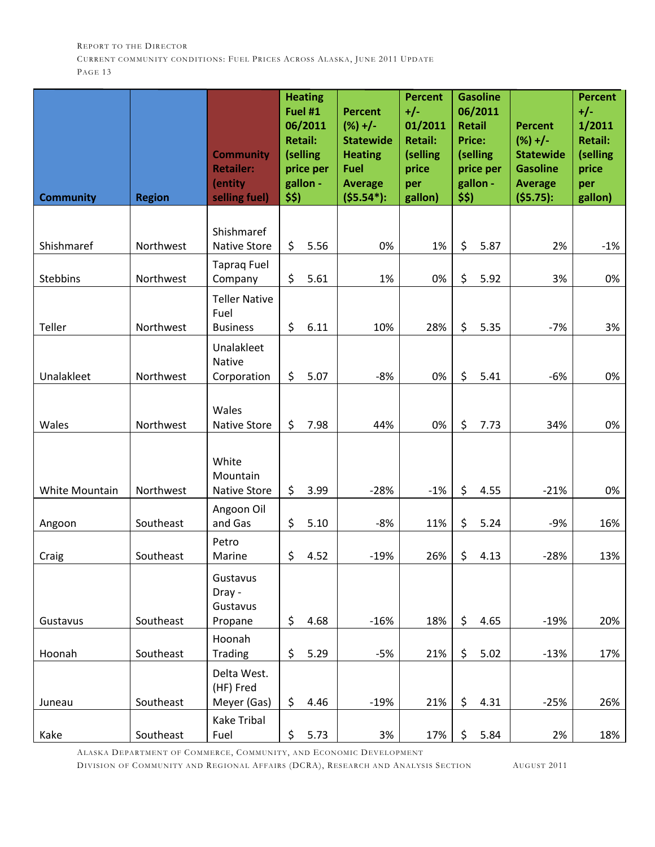| <b>Community</b> | <b>Region</b> | <b>Community</b><br><b>Retailer:</b><br>(entity<br>selling fuel) | \$5) | <b>Heating</b><br>Fuel #1<br>06/2011<br><b>Retail:</b><br>(selling<br>price per<br>gallon - | <b>Percent</b><br>$(%) +/-$<br><b>Statewide</b><br><b>Heating</b><br><b>Fuel</b><br><b>Average</b><br>$($ \$5.54 <sup>*</sup> ): | <b>Percent</b><br>$+/-$<br>01/2011<br><b>Retail:</b><br>(selling<br>price<br>per<br>gallon) | \$\$) | <b>Gasoline</b><br>06/2011<br><b>Retail</b><br><b>Price:</b><br>(selling<br>price per<br>gallon - | <b>Percent</b><br>$(%) +/-$<br><b>Statewide</b><br><b>Gasoline</b><br><b>Average</b><br>$($ \$5.75): | <b>Percent</b><br>$+/-$<br>1/2011<br><b>Retail:</b><br>(selling<br>price<br>per<br>gallon) |
|------------------|---------------|------------------------------------------------------------------|------|---------------------------------------------------------------------------------------------|----------------------------------------------------------------------------------------------------------------------------------|---------------------------------------------------------------------------------------------|-------|---------------------------------------------------------------------------------------------------|------------------------------------------------------------------------------------------------------|--------------------------------------------------------------------------------------------|
|                  |               | Shishmaref                                                       |      |                                                                                             |                                                                                                                                  |                                                                                             |       |                                                                                                   |                                                                                                      |                                                                                            |
| Shishmaref       | Northwest     | <b>Native Store</b>                                              | \$   | 5.56                                                                                        | 0%                                                                                                                               | 1%                                                                                          | \$    | 5.87                                                                                              | 2%                                                                                                   | $-1%$                                                                                      |
| Stebbins         | Northwest     | <b>Taprag Fuel</b><br>Company                                    | \$   | 5.61                                                                                        | 1%                                                                                                                               | 0%                                                                                          | \$    | 5.92                                                                                              | 3%                                                                                                   | 0%                                                                                         |
|                  |               | <b>Teller Native</b><br>Fuel                                     |      |                                                                                             |                                                                                                                                  |                                                                                             |       |                                                                                                   |                                                                                                      |                                                                                            |
| Teller           | Northwest     | <b>Business</b>                                                  | \$   | 6.11                                                                                        | 10%                                                                                                                              | 28%                                                                                         | \$    | 5.35                                                                                              | $-7%$                                                                                                | 3%                                                                                         |
|                  |               | Unalakleet<br>Native                                             |      |                                                                                             |                                                                                                                                  |                                                                                             |       |                                                                                                   |                                                                                                      |                                                                                            |
| Unalakleet       | Northwest     | Corporation                                                      | \$   | 5.07                                                                                        | $-8%$                                                                                                                            | 0%                                                                                          | \$    | 5.41                                                                                              | $-6%$                                                                                                | 0%                                                                                         |
| Wales            | Northwest     | Wales<br><b>Native Store</b>                                     | \$   | 7.98                                                                                        | 44%                                                                                                                              | 0%                                                                                          | \$    | 7.73                                                                                              | 34%                                                                                                  | 0%                                                                                         |
|                  |               | White<br>Mountain                                                |      |                                                                                             |                                                                                                                                  |                                                                                             |       |                                                                                                   |                                                                                                      |                                                                                            |
| White Mountain   | Northwest     | Native Store                                                     | \$   | 3.99                                                                                        | $-28%$                                                                                                                           | $-1%$                                                                                       | \$    | 4.55                                                                                              | $-21%$                                                                                               | 0%                                                                                         |
| Angoon           | Southeast     | Angoon Oil<br>and Gas                                            | \$   | 5.10                                                                                        | $-8%$                                                                                                                            | 11%                                                                                         | \$    | 5.24                                                                                              | $-9%$                                                                                                | 16%                                                                                        |
| Craig            | Southeast     | Petro<br>Marine                                                  | \$   | 4.52                                                                                        | $-19%$                                                                                                                           | 26%                                                                                         | \$    | 4.13                                                                                              | $-28%$                                                                                               | 13%                                                                                        |
| Gustavus         | Southeast     | Gustavus<br>Dray -<br>Gustavus<br>Propane                        | \$   | 4.68                                                                                        | $-16%$                                                                                                                           | 18%                                                                                         | \$    | 4.65                                                                                              | $-19%$                                                                                               | 20%                                                                                        |
|                  |               | Hoonah                                                           |      |                                                                                             |                                                                                                                                  |                                                                                             |       |                                                                                                   |                                                                                                      |                                                                                            |
| Hoonah           | Southeast     | <b>Trading</b>                                                   | \$   | 5.29                                                                                        | $-5%$                                                                                                                            | 21%                                                                                         | \$    | 5.02                                                                                              | $-13%$                                                                                               | 17%                                                                                        |
| Juneau           | Southeast     | Delta West.<br>(HF) Fred<br>Meyer (Gas)                          | \$   | 4.46                                                                                        | $-19%$                                                                                                                           | 21%                                                                                         | \$    | 4.31                                                                                              | $-25%$                                                                                               | 26%                                                                                        |
|                  |               | Kake Tribal                                                      |      |                                                                                             |                                                                                                                                  |                                                                                             |       |                                                                                                   |                                                                                                      |                                                                                            |
| Kake             | Southeast     | Fuel                                                             | \$   | 5.73                                                                                        | 3%                                                                                                                               | 17%                                                                                         | \$    | 5.84                                                                                              | 2%                                                                                                   | 18%                                                                                        |

ALASKA DEPARTMENT OF COMMERCE, COMMUNITY, AND ECONOMIC DEVELOPMENT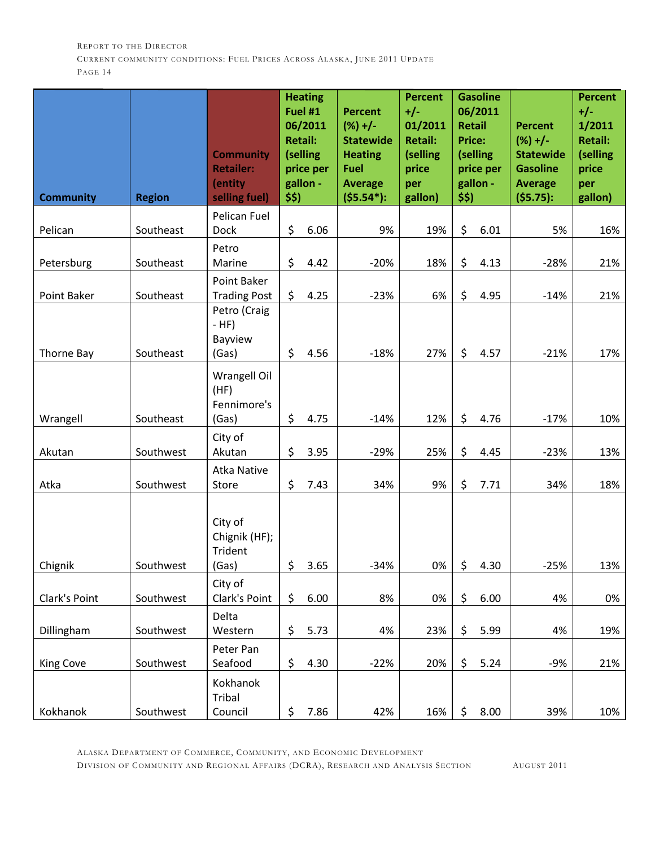| <b>Community</b> | <b>Region</b> | <b>Community</b><br><b>Retailer:</b><br>(entity<br>selling fuel) | \$5) | <b>Heating</b><br>Fuel #1<br>06/2011<br><b>Retail:</b><br>(selling<br>price per<br>gallon - | <b>Percent</b><br>$(%) +/-$<br><b>Statewide</b><br><b>Heating</b><br><b>Fuel</b><br><b>Average</b><br>$($ \$5.54 <sup>*</sup> ): | <b>Percent</b><br>$+/-$<br>01/2011<br><b>Retail:</b><br>(selling<br>price<br>per<br>gallon) | <b>Retail</b><br><b>Price:</b><br>\$\$) | <b>Gasoline</b><br>06/2011<br>(selling<br>price per<br>gallon - | <b>Percent</b><br>$(%) +/-$<br><b>Statewide</b><br><b>Gasoline</b><br><b>Average</b><br>(55.75): | <b>Percent</b><br>$+/-$<br>1/2011<br><b>Retail:</b><br>(selling<br>price<br>per<br>gallon) |
|------------------|---------------|------------------------------------------------------------------|------|---------------------------------------------------------------------------------------------|----------------------------------------------------------------------------------------------------------------------------------|---------------------------------------------------------------------------------------------|-----------------------------------------|-----------------------------------------------------------------|--------------------------------------------------------------------------------------------------|--------------------------------------------------------------------------------------------|
|                  |               | Pelican Fuel                                                     |      |                                                                                             |                                                                                                                                  |                                                                                             |                                         |                                                                 |                                                                                                  |                                                                                            |
| Pelican          | Southeast     | Dock                                                             | \$   | 6.06                                                                                        | 9%                                                                                                                               | 19%                                                                                         | \$                                      | 6.01                                                            | 5%                                                                                               | 16%                                                                                        |
| Petersburg       | Southeast     | Petro<br>Marine                                                  | \$   | 4.42                                                                                        | $-20%$                                                                                                                           | 18%                                                                                         | \$                                      | 4.13                                                            | $-28%$                                                                                           | 21%                                                                                        |
| Point Baker      | Southeast     | Point Baker<br><b>Trading Post</b>                               | \$   | 4.25                                                                                        | $-23%$                                                                                                                           | 6%                                                                                          | \$                                      | 4.95                                                            | $-14%$                                                                                           | 21%                                                                                        |
| Thorne Bay       | Southeast     | Petro (Craig<br>$-HF)$<br>Bayview<br>(Gas)                       | \$   | 4.56                                                                                        | $-18%$                                                                                                                           | 27%                                                                                         | \$                                      | 4.57                                                            | $-21%$                                                                                           | 17%                                                                                        |
| Wrangell         | Southeast     | Wrangell Oil<br>(HF)<br>Fennimore's<br>(Gas)                     | \$   | 4.75                                                                                        | $-14%$                                                                                                                           | 12%                                                                                         | \$                                      | 4.76                                                            | $-17%$                                                                                           | 10%                                                                                        |
|                  |               | City of                                                          |      |                                                                                             |                                                                                                                                  |                                                                                             |                                         |                                                                 |                                                                                                  |                                                                                            |
| Akutan           | Southwest     | Akutan                                                           | \$   | 3.95                                                                                        | $-29%$                                                                                                                           | 25%                                                                                         | \$                                      | 4.45                                                            | $-23%$                                                                                           | 13%                                                                                        |
| Atka             | Southwest     | <b>Atka Native</b><br>Store                                      | \$   | 7.43                                                                                        | 34%                                                                                                                              | 9%                                                                                          | \$                                      | 7.71                                                            | 34%                                                                                              | 18%                                                                                        |
| Chignik          | Southwest     | City of<br>Chignik (HF);<br><b>Trident</b><br>(Gas)              | \$   | 3.65                                                                                        | $-34%$                                                                                                                           | 0%                                                                                          | \$                                      | 4.30                                                            | $-25%$                                                                                           | 13%                                                                                        |
|                  |               | City of                                                          |      |                                                                                             |                                                                                                                                  |                                                                                             |                                         |                                                                 |                                                                                                  |                                                                                            |
| Clark's Point    | Southwest     | Clark's Point                                                    | \$   | 6.00                                                                                        | 8%                                                                                                                               | 0%                                                                                          | \$                                      | 6.00                                                            | 4%                                                                                               | 0%                                                                                         |
| Dillingham       | Southwest     | Delta<br>Western                                                 | \$   | 5.73                                                                                        | 4%                                                                                                                               | 23%                                                                                         | \$                                      | 5.99                                                            | 4%                                                                                               | 19%                                                                                        |
| King Cove        | Southwest     | Peter Pan<br>Seafood                                             | \$   | 4.30                                                                                        | $-22%$                                                                                                                           | 20%                                                                                         | \$                                      | 5.24                                                            | $-9%$                                                                                            | 21%                                                                                        |
| Kokhanok         | Southwest     | Kokhanok<br>Tribal<br>Council                                    | \$   | 7.86                                                                                        | 42%                                                                                                                              | 16%                                                                                         | \$                                      | 8.00                                                            | 39%                                                                                              | 10%                                                                                        |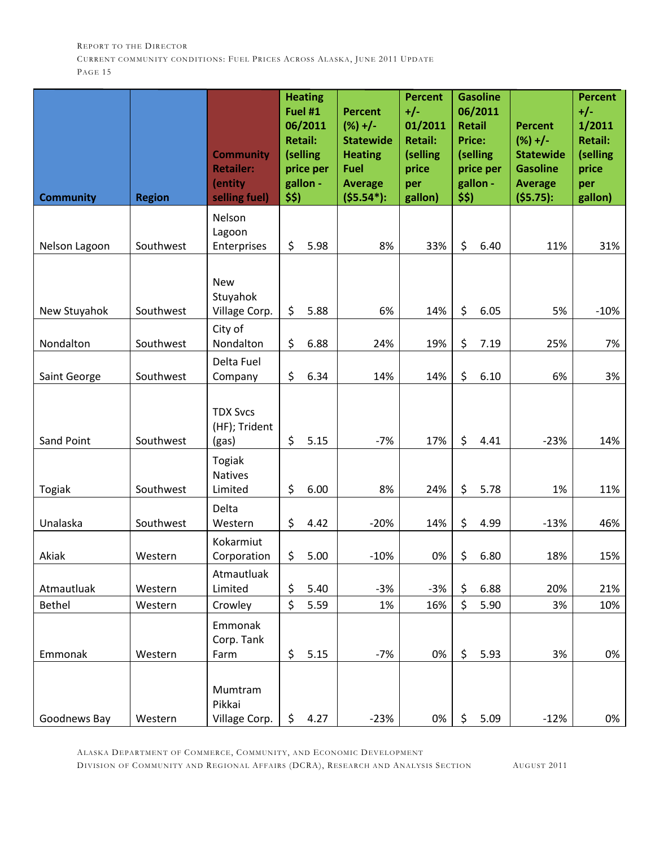| <b>Community</b> | <b>Region</b> | <b>Community</b><br><b>Retailer:</b><br>(entity<br>selling fuel)      | \$5) | <b>Heating</b><br>Fuel #1<br>06/2011<br><b>Retail:</b><br>(selling<br>price per<br>gallon - | <b>Percent</b><br>$(%) +/-$<br><b>Statewide</b><br><b>Heating</b><br>Fuel<br><b>Average</b><br>$($ \$5.54 <sup>*</sup> ): | <b>Percent</b><br>$+/-$<br>01/2011<br><b>Retail:</b><br>(selling<br>price<br>per<br>gallon) | <b>Retail</b><br><b>Price:</b><br>\$\$) | <b>Gasoline</b><br>06/2011<br>(selling<br>price per<br>gallon - | <b>Percent</b><br>$(%) +/-$<br><b>Statewide</b><br><b>Gasoline</b><br><b>Average</b><br>(55.75): | <b>Percent</b><br>$+/-$<br>1/2011<br><b>Retail:</b><br>(selling<br>price<br>per<br>gallon) |
|------------------|---------------|-----------------------------------------------------------------------|------|---------------------------------------------------------------------------------------------|---------------------------------------------------------------------------------------------------------------------------|---------------------------------------------------------------------------------------------|-----------------------------------------|-----------------------------------------------------------------|--------------------------------------------------------------------------------------------------|--------------------------------------------------------------------------------------------|
|                  |               | Nelson                                                                |      |                                                                                             |                                                                                                                           |                                                                                             |                                         |                                                                 |                                                                                                  |                                                                                            |
| Nelson Lagoon    | Southwest     | Lagoon<br>Enterprises                                                 | \$   | 5.98                                                                                        | 8%                                                                                                                        | 33%                                                                                         | \$                                      | 6.40                                                            | 11%                                                                                              | 31%                                                                                        |
| New Stuyahok     | Southwest     | <b>New</b><br>Stuyahok<br>Village Corp.<br>City of                    | \$   | 5.88                                                                                        | 6%                                                                                                                        | 14%                                                                                         | \$                                      | 6.05                                                            | 5%                                                                                               | $-10%$                                                                                     |
| Nondalton        | Southwest     | Nondalton                                                             | \$   | 6.88                                                                                        | 24%                                                                                                                       | 19%                                                                                         | \$                                      | 7.19                                                            | 25%                                                                                              | 7%                                                                                         |
| Saint George     | Southwest     | Delta Fuel<br>Company                                                 | \$   | 6.34                                                                                        | 14%                                                                                                                       | 14%                                                                                         | \$                                      | 6.10                                                            | 6%                                                                                               | 3%                                                                                         |
| Sand Point       | Southwest     | <b>TDX Svcs</b><br>(HF); Trident<br>(gas)<br>Togiak<br><b>Natives</b> | \$   | 5.15                                                                                        | $-7%$                                                                                                                     | 17%                                                                                         | \$                                      | 4.41                                                            | $-23%$                                                                                           | 14%                                                                                        |
| <b>Togiak</b>    | Southwest     | Limited                                                               | \$   | 6.00                                                                                        | 8%                                                                                                                        | 24%                                                                                         | \$                                      | 5.78                                                            | 1%                                                                                               | 11%                                                                                        |
| Unalaska         | Southwest     | Delta<br>Western                                                      | \$   | 4.42                                                                                        | $-20%$                                                                                                                    | 14%                                                                                         | \$                                      | 4.99                                                            | $-13%$                                                                                           | 46%                                                                                        |
| Akiak            | Western       | Kokarmiut<br>Corporation                                              | \$   | 5.00                                                                                        | $-10%$                                                                                                                    | 0%                                                                                          | \$                                      | 6.80                                                            | 18%                                                                                              | 15%                                                                                        |
| Atmautluak       | Western       | Atmautluak<br>Limited                                                 | \$   | 5.40                                                                                        | $-3%$                                                                                                                     | $-3%$                                                                                       | \$                                      | 6.88                                                            | 20%                                                                                              | 21%                                                                                        |
| Bethel           | Western       | Crowley                                                               | \$   | 5.59                                                                                        | 1%                                                                                                                        | 16%                                                                                         | $\zeta$                                 | 5.90                                                            | 3%                                                                                               | 10%                                                                                        |
| Emmonak          | Western       | Emmonak<br>Corp. Tank<br>Farm                                         | \$   | 5.15                                                                                        | $-7%$                                                                                                                     | 0%                                                                                          | \$                                      | 5.93                                                            | 3%                                                                                               | 0%                                                                                         |
| Goodnews Bay     | Western       | Mumtram<br>Pikkai<br>Village Corp.                                    | \$   | 4.27                                                                                        | $-23%$                                                                                                                    | 0%                                                                                          | \$                                      | 5.09                                                            | $-12%$                                                                                           | 0%                                                                                         |

ALASKA DEPARTMENT OF COMMERCE, COMMUNITY, AND ECONOMIC DEVELOPMENT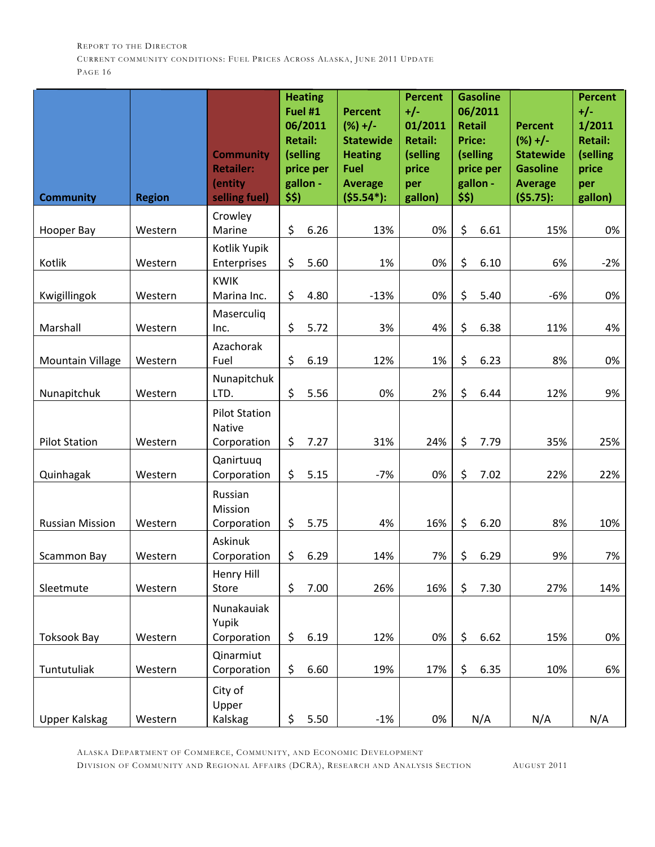| <b>Community</b>        | <b>Region</b> | <b>Community</b><br><b>Retailer:</b><br>(entity<br>selling fuel) | <b>Heating</b><br>Fuel #1<br>06/2011<br><b>Retail:</b><br>(selling<br>price per<br>gallon -<br>\$5) |      | <b>Percent</b><br>$(%) +/-$<br><b>Statewide</b><br><b>Heating</b><br><b>Fuel</b><br><b>Average</b><br>$($ \$5.54 <sup>*</sup> ): | <b>Percent</b><br>$+/-$<br>01/2011<br><b>Retail:</b><br>(selling<br>price<br>per<br>gallon) | <b>Gasoline</b><br>06/2011<br><b>Retail</b><br><b>Price:</b><br>(selling<br>price per<br>gallon -<br>\$\$) |      | <b>Percent</b><br>$(%) +/-$<br><b>Statewide</b><br><b>Gasoline</b><br><b>Average</b><br>$($ \$5.75): | <b>Percent</b><br>$+/-$<br>1/2011<br><b>Retail:</b><br>(selling<br>price<br>per<br>gallon) |
|-------------------------|---------------|------------------------------------------------------------------|-----------------------------------------------------------------------------------------------------|------|----------------------------------------------------------------------------------------------------------------------------------|---------------------------------------------------------------------------------------------|------------------------------------------------------------------------------------------------------------|------|------------------------------------------------------------------------------------------------------|--------------------------------------------------------------------------------------------|
|                         |               | Crowley                                                          |                                                                                                     |      |                                                                                                                                  |                                                                                             |                                                                                                            |      |                                                                                                      |                                                                                            |
| Hooper Bay              | Western       | Marine                                                           | \$                                                                                                  | 6.26 | 13%                                                                                                                              | 0%                                                                                          | \$                                                                                                         | 6.61 | 15%                                                                                                  | 0%                                                                                         |
| Kotlik                  | Western       | Kotlik Yupik<br>Enterprises                                      | \$                                                                                                  | 5.60 | 1%                                                                                                                               | 0%                                                                                          | \$                                                                                                         | 6.10 | 6%                                                                                                   | $-2%$                                                                                      |
| Kwigillingok            | Western       | <b>KWIK</b><br>Marina Inc.                                       | \$                                                                                                  | 4.80 | $-13%$                                                                                                                           | 0%                                                                                          | \$                                                                                                         | 5.40 | $-6%$                                                                                                | 0%                                                                                         |
| Marshall                | Western       | Maserculiq<br>Inc.                                               | \$                                                                                                  | 5.72 | 3%                                                                                                                               | 4%                                                                                          | \$                                                                                                         | 6.38 | 11%                                                                                                  | 4%                                                                                         |
|                         |               | Azachorak                                                        |                                                                                                     |      |                                                                                                                                  |                                                                                             |                                                                                                            |      |                                                                                                      |                                                                                            |
| <b>Mountain Village</b> | Western       | Fuel                                                             | \$                                                                                                  | 6.19 | 12%                                                                                                                              | 1%                                                                                          | \$                                                                                                         | 6.23 | 8%                                                                                                   | 0%                                                                                         |
| Nunapitchuk             | Western       | Nunapitchuk<br>LTD.                                              | \$                                                                                                  | 5.56 | 0%                                                                                                                               | 2%                                                                                          | \$                                                                                                         | 6.44 | 12%                                                                                                  | 9%                                                                                         |
| <b>Pilot Station</b>    | Western       | <b>Pilot Station</b><br>Native<br>Corporation                    | \$                                                                                                  | 7.27 | 31%                                                                                                                              | 24%                                                                                         | \$                                                                                                         | 7.79 | 35%                                                                                                  | 25%                                                                                        |
| Quinhagak               | Western       | Qanirtuuq<br>Corporation                                         | \$                                                                                                  | 5.15 | $-7%$                                                                                                                            | 0%                                                                                          | \$                                                                                                         | 7.02 | 22%                                                                                                  | 22%                                                                                        |
| <b>Russian Mission</b>  | Western       | Russian<br>Mission<br>Corporation                                | \$                                                                                                  | 5.75 | 4%                                                                                                                               | 16%                                                                                         | \$                                                                                                         | 6.20 | 8%                                                                                                   | 10%                                                                                        |
| <b>Scammon Bay</b>      | Western       | <b>Askinuk</b><br>Corporation                                    | \$                                                                                                  | 6.29 | 14%                                                                                                                              | 7%                                                                                          | \$                                                                                                         | 6.29 | 9%                                                                                                   | 7%                                                                                         |
| Sleetmute               | Western       | Henry Hill<br>Store                                              | \$                                                                                                  | 7.00 | 26%                                                                                                                              | 16%                                                                                         | \$                                                                                                         | 7.30 | 27%                                                                                                  | 14%                                                                                        |
| <b>Toksook Bay</b>      | Western       | Nunakauiak<br>Yupik<br>Corporation                               | \$                                                                                                  | 6.19 | 12%                                                                                                                              | 0%                                                                                          | \$                                                                                                         | 6.62 | 15%                                                                                                  | 0%                                                                                         |
| Tuntutuliak             | Western       | Qinarmiut<br>Corporation                                         | \$                                                                                                  | 6.60 | 19%                                                                                                                              | 17%                                                                                         | \$                                                                                                         | 6.35 | 10%                                                                                                  | 6%                                                                                         |
| <b>Upper Kalskag</b>    | Western       | City of<br>Upper<br>Kalskag                                      | \$                                                                                                  | 5.50 | $-1%$                                                                                                                            | 0%                                                                                          |                                                                                                            | N/A  | N/A                                                                                                  | N/A                                                                                        |

ALASKA DEPARTMENT OF COMMERCE, COMMUNITY, AND ECONOMIC DEVELOPMENT